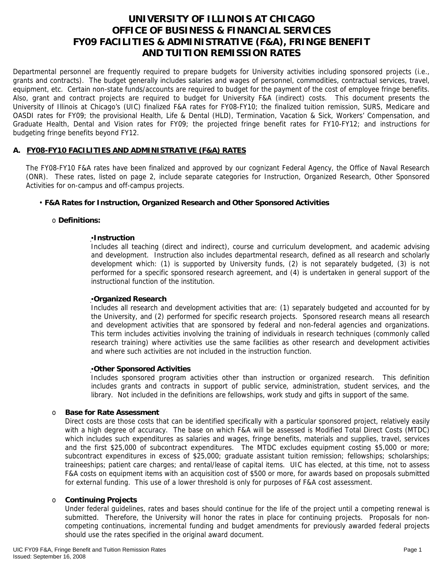# **UNIVERSITY OF ILLINOIS AT CHICAGO OFFICE OF BUSINESS & FINANCIAL SERVICES FY09 FACILITIES & ADMINISTRATIVE (F&A), FRINGE BENEFIT AND TUITION REMISSION RATES**

Departmental personnel are frequently required to prepare budgets for University activities including sponsored projects (i.e., grants and contracts). The budget generally includes salaries and wages of personnel, commodities, contractual services, travel, equipment, etc. Certain non-state funds/accounts are required to budget for the payment of the cost of employee fringe benefits. Also, grant and contract projects are required to budget for University F&A (indirect) costs. This document presents the University of Illinois at Chicago's (UIC) finalized F&A rates for FY08-FY10; the finalized tuition remission, SURS, Medicare and OASDI rates for FY09; the provisional Health, Life & Dental (HLD), Termination, Vacation & Sick, Workers' Compensation, and Graduate Health, Dental and Vision rates for FY09; the projected fringe benefit rates for FY10-FY12; and instructions for budgeting fringe benefits beyond FY12.

## **A. FY08-FY10 FACILITIES AND ADMINISTRATIVE (F&A) RATES**

The FY08-FY10 F&A rates have been finalized and approved by our cognizant Federal Agency, the Office of Naval Research (ONR). These rates, listed on page 2, include separate categories for Instruction, Organized Research, Other Sponsored Activities for on-campus and off-campus projects.

## • **F&A Rates for Instruction, Organized Research and Other Sponsored Activities**

## o **Definitions:**

#### ▪**Instruction**

Includes all teaching (direct and indirect), course and curriculum development, and academic advising and development. Instruction also includes departmental research, defined as all research and scholarly development which: (1) is supported by University funds, (2) is not separately budgeted, (3) is not performed for a specific sponsored research agreement, and (4) is undertaken in general support of the instructional function of the institution.

## ▪**Organized Research**

Includes all research and development activities that are: (1) separately budgeted and accounted for by the University, and (2) performed for specific research projects. Sponsored research means all research and development activities that are sponsored by federal and non-federal agencies and organizations. This term includes activities involving the training of individuals in research techniques (commonly called research training) where activities use the same facilities as other research and development activities and where such activities are not included in the instruction function.

## ▪**Other Sponsored Activities**

Includes sponsored program activities other than instruction or organized research. This definition includes grants and contracts in support of public service, administration, student services, and the library. Not included in the definitions are fellowships, work study and gifts in support of the same.

## o **Base for Rate Assessment**

Direct costs are those costs that can be identified specifically with a particular sponsored project, relatively easily with a high degree of accuracy. The base on which F&A will be assessed is Modified Total Direct Costs (MTDC) which includes such expenditures as salaries and wages, fringe benefits, materials and supplies, travel, services and the first \$25,000 of subcontract expenditures. The MTDC excludes equipment costing \$5,000 or more; subcontract expenditures in excess of \$25,000; graduate assistant tuition remission; fellowships; scholarships; traineeships; patient care charges; and rental/lease of capital items. UIC has elected, at this time, not to assess F&A costs on equipment items with an acquisition cost of \$500 or more, for awards based on proposals submitted for external funding. This use of a lower threshold is only for purposes of F&A cost assessment.

## o **Continuing Projects**

Under federal guidelines, rates and bases should continue for the life of the project until a competing renewal is submitted. Therefore, the University will honor the rates in place for continuing projects. Proposals for noncompeting continuations, incremental funding and budget amendments for previously awarded federal projects should use the rates specified in the original award document.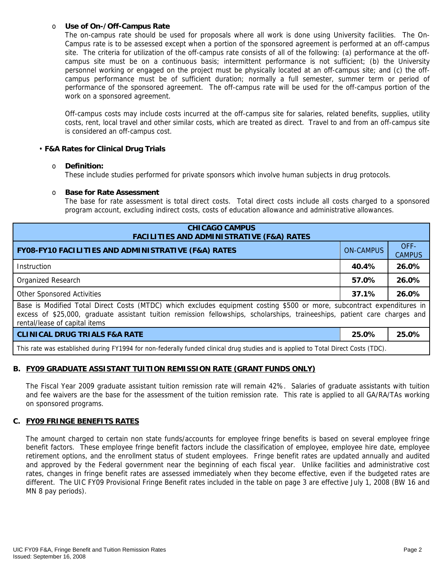## o **Use of On-/Off-Campus Rate**

The on-campus rate should be used for proposals where all work is done using University facilities. The On-Campus rate is to be assessed except when a portion of the sponsored agreement is performed at an off-campus site. The criteria for utilization of the off-campus rate consists of all of the following: (a) performance at the offcampus site must be on a continuous basis; intermittent performance is not sufficient; (b) the University personnel working or engaged on the project must be physically located at an off-campus site; and (c) the offcampus performance must be of sufficient duration; normally a full semester, summer term or period of performance of the sponsored agreement. The off-campus rate will be used for the off-campus portion of the work on a sponsored agreement.

Off-campus costs may include costs incurred at the off-campus site for salaries, related benefits, supplies, utility costs, rent, local travel and other similar costs, which are treated as direct. Travel to and from an off-campus site is considered an off-campus cost.

## • **F&A Rates for Clinical Drug Trials**

## o **Definition:**

These include studies performed for private sponsors which involve human subjects in drug protocols.

## o **Base for Rate Assessment**

The base for rate assessment is total direct costs. Total direct costs include all costs charged to a sponsored program account, excluding indirect costs, costs of education allowance and administrative allowances.

| <b>CHICAGO CAMPUS</b><br><b>FACILITIES AND ADMINISTRATIVE (F&amp;A) RATES</b>                                                                                                                                                                                                         |                  |                       |  |  |
|---------------------------------------------------------------------------------------------------------------------------------------------------------------------------------------------------------------------------------------------------------------------------------------|------------------|-----------------------|--|--|
| <b>FY08-FY10 FACILITIES AND ADMINISTRATIVE (F&amp;A) RATES</b>                                                                                                                                                                                                                        | <b>ON-CAMPUS</b> | OFF-<br><b>CAMPUS</b> |  |  |
| <b>Instruction</b>                                                                                                                                                                                                                                                                    | 40.4%            | 26.0%                 |  |  |
| Organized Research                                                                                                                                                                                                                                                                    | 57.0%            | 26.0%                 |  |  |
| <b>Other Sponsored Activities</b>                                                                                                                                                                                                                                                     | 37.1%            | 26.0%                 |  |  |
| Base is Modified Total Direct Costs (MTDC) which excludes equipment costing \$500 or more, subcontract expenditures in<br>excess of \$25,000, graduate assistant tuition remission fellowships, scholarships, traineeships, patient care charges and<br>rental/lease of capital items |                  |                       |  |  |
| <b>CLINICAL DRUG TRIALS F&amp;A RATE</b>                                                                                                                                                                                                                                              | 25.0%            | 25.0%                 |  |  |
| This rate was established during FY1994 for non-federally funded clinical drug studies and is applied to Total Direct Costs (TDC).                                                                                                                                                    |                  |                       |  |  |

## **B. FY09 GRADUATE ASSISTANT TUITION REMISSION RATE (GRANT FUNDS ONLY)**

The Fiscal Year 2009 graduate assistant tuition remission rate will remain 42%.Salaries of graduate assistants with tuition and fee waivers are the base for the assessment of the tuition remission rate. This rate is applied to all GA/RA/TAs working on sponsored programs.

## **C. FY09 FRINGE BENEFITS RATES**

The amount charged to certain non state funds/accounts for employee fringe benefits is based on several employee fringe benefit factors. These employee fringe benefit factors include the classification of employee, employee hire date, employee retirement options, and the enrollment status of student employees. Fringe benefit rates are updated annually and audited and approved by the Federal government near the beginning of each fiscal year. Unlike facilities and administrative cost rates, changes in fringe benefit rates are assessed immediately when they become effective, even if the budgeted rates are different. The UIC FY09 Provisional Fringe Benefit rates included in the table on page 3 are effective July 1, 2008 (BW 16 and MN 8 pay periods).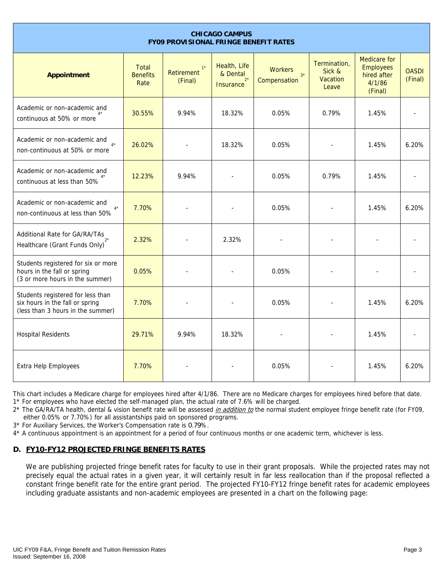| <b>CHICAGO CAMPUS</b><br><b>FY09 PROVISIONAL FRINGE BENEFIT RATES</b>                                     |                                  |                               |                                                       |                                        |                                             |                                                                             |                         |
|-----------------------------------------------------------------------------------------------------------|----------------------------------|-------------------------------|-------------------------------------------------------|----------------------------------------|---------------------------------------------|-----------------------------------------------------------------------------|-------------------------|
| <b>Appointment</b>                                                                                        | Total<br><b>Benefits</b><br>Rate | $1*$<br>Retirement<br>(Final) | Health, Life<br>& Dental<br>$2^*$<br><b>Insurance</b> | <b>Workers</b><br>$3*$<br>Compensation | Termination,<br>Sick &<br>Vacation<br>Leave | <b>Medicare</b> for<br><b>Employees</b><br>hired after<br>4/1/86<br>(Final) | <b>OASDI</b><br>(Final) |
| Academic or non-academic and<br>continuous at 50% or more                                                 | 30.55%                           | 9.94%                         | 18.32%                                                | 0.05%                                  | 0.79%                                       | 1.45%                                                                       |                         |
| Academic or non-academic and<br>non-continuous at 50% or more                                             | 26.02%                           |                               | 18.32%                                                | 0.05%                                  |                                             | 1.45%                                                                       | 6.20%                   |
| Academic or non-academic and<br>continuous at less than 50%                                               | 12.23%                           | 9.94%                         |                                                       | 0.05%                                  | 0.79%                                       | 1.45%                                                                       |                         |
| Academic or non-academic and<br>$4*$<br>non-continuous at less than 50%                                   | 7.70%                            |                               |                                                       | 0.05%                                  |                                             | 1.45%                                                                       | 6.20%                   |
| Additional Rate for GA/RA/TAs<br>Healthcare (Grant Funds Only)                                            | 2.32%                            |                               | 2.32%                                                 |                                        |                                             |                                                                             |                         |
| Students registered for six or more<br>hours in the fall or spring<br>(3 or more hours in the summer)     | 0.05%                            |                               |                                                       | 0.05%                                  |                                             |                                                                             |                         |
| Students registered for less than<br>six hours in the fall or spring<br>(less than 3 hours in the summer) | 7.70%                            |                               |                                                       | 0.05%                                  |                                             | 1.45%                                                                       | 6.20%                   |
| <b>Hospital Residents</b>                                                                                 | 29.71%                           | 9.94%                         | 18.32%                                                |                                        |                                             | 1.45%                                                                       |                         |
| Extra Help Employees                                                                                      | 7.70%                            |                               |                                                       | 0.05%                                  |                                             | 1.45%                                                                       | 6.20%                   |

This chart includes a Medicare charge for employees hired after 4/1/86. There are no Medicare charges for employees hired before that date. 1\* For employees who have elected the self-managed plan, the actual rate of 7.6% will be charged.

2\* The GA/RA/TA health, dental & vision benefit rate will be assessed *in addition to* the normal student employee fringe benefit rate (for FY09, either 0.05% or 7.70%) for all assistantships paid on sponsored programs.

3\* For Auxiliary Services, the Worker's Compensation rate is 0.79%.

4\* A continuous appointment is an appointment for a period of four continuous months or one academic term, whichever is less.

# **D. FY10-FY12 PROJECTED FRINGE BENEFITS RATES**

We are publishing projected fringe benefit rates for faculty to use in their grant proposals. While the projected rates may not precisely equal the actual rates in a given year, it will certainly result in far less reallocation than if the proposal reflected a constant fringe benefit rate for the entire grant period. The projected FY10-FY12 fringe benefit rates for academic employees including graduate assistants and non-academic employees are presented in a chart on the following page: